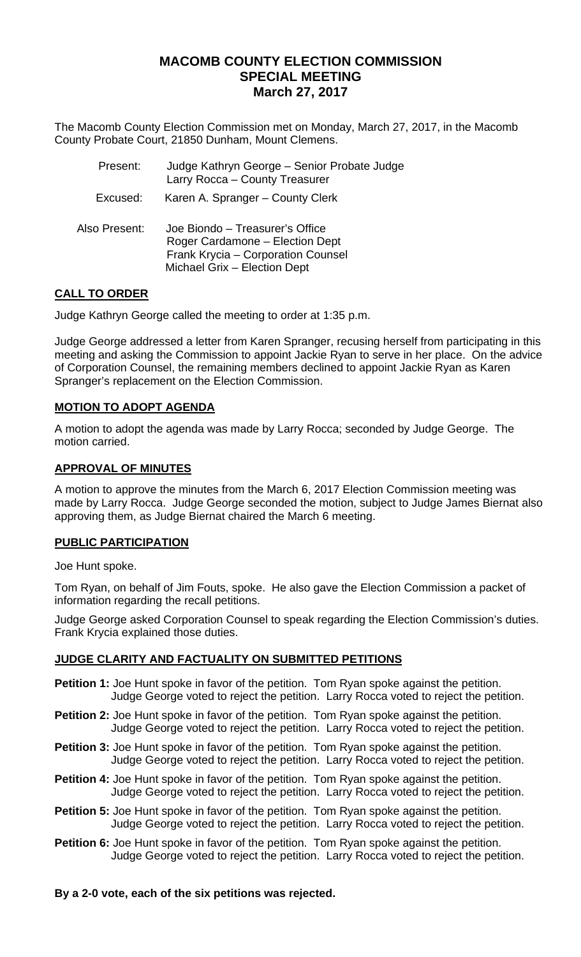# **MACOMB COUNTY ELECTION COMMISSION SPECIAL MEETING March 27, 2017**

The Macomb County Election Commission met on Monday, March 27, 2017, in the Macomb County Probate Court, 21850 Dunham, Mount Clemens.

| Present:      | Judge Kathryn George - Senior Probate Judge<br>Larry Rocca - County Treasurer                                                            |
|---------------|------------------------------------------------------------------------------------------------------------------------------------------|
| Excused:      | Karen A. Spranger - County Clerk                                                                                                         |
| Also Present: | Joe Biondo - Treasurer's Office<br>Roger Cardamone - Election Dept<br>Frank Krycia - Corporation Counsel<br>Michael Grix - Election Dept |

## **CALL TO ORDER**

Judge Kathryn George called the meeting to order at 1:35 p.m.

Judge George addressed a letter from Karen Spranger, recusing herself from participating in this meeting and asking the Commission to appoint Jackie Ryan to serve in her place. On the advice of Corporation Counsel, the remaining members declined to appoint Jackie Ryan as Karen Spranger's replacement on the Election Commission.

## **MOTION TO ADOPT AGENDA**

A motion to adopt the agenda was made by Larry Rocca; seconded by Judge George. The motion carried.

### **APPROVAL OF MINUTES**

A motion to approve the minutes from the March 6, 2017 Election Commission meeting was made by Larry Rocca. Judge George seconded the motion, subject to Judge James Biernat also approving them, as Judge Biernat chaired the March 6 meeting.

### **PUBLIC PARTICIPATION**

Joe Hunt spoke.

Tom Ryan, on behalf of Jim Fouts, spoke. He also gave the Election Commission a packet of information regarding the recall petitions.

Judge George asked Corporation Counsel to speak regarding the Election Commission's duties. Frank Krycia explained those duties.

### **JUDGE CLARITY AND FACTUALITY ON SUBMITTED PETITIONS**

- **Petition 1:** Joe Hunt spoke in favor of the petition. Tom Ryan spoke against the petition. Judge George voted to reject the petition. Larry Rocca voted to reject the petition.
- **Petition 2:** Joe Hunt spoke in favor of the petition. Tom Ryan spoke against the petition. Judge George voted to reject the petition. Larry Rocca voted to reject the petition.
- **Petition 3:** Joe Hunt spoke in favor of the petition. Tom Ryan spoke against the petition. Judge George voted to reject the petition. Larry Rocca voted to reject the petition.
- **Petition 4:** Joe Hunt spoke in favor of the petition. Tom Ryan spoke against the petition. Judge George voted to reject the petition. Larry Rocca voted to reject the petition.
- **Petition 5:** Joe Hunt spoke in favor of the petition. Tom Ryan spoke against the petition. Judge George voted to reject the petition. Larry Rocca voted to reject the petition.
- **Petition 6:** Joe Hunt spoke in favor of the petition. Tom Ryan spoke against the petition. Judge George voted to reject the petition. Larry Rocca voted to reject the petition.

#### **By a 2-0 vote, each of the six petitions was rejected.**